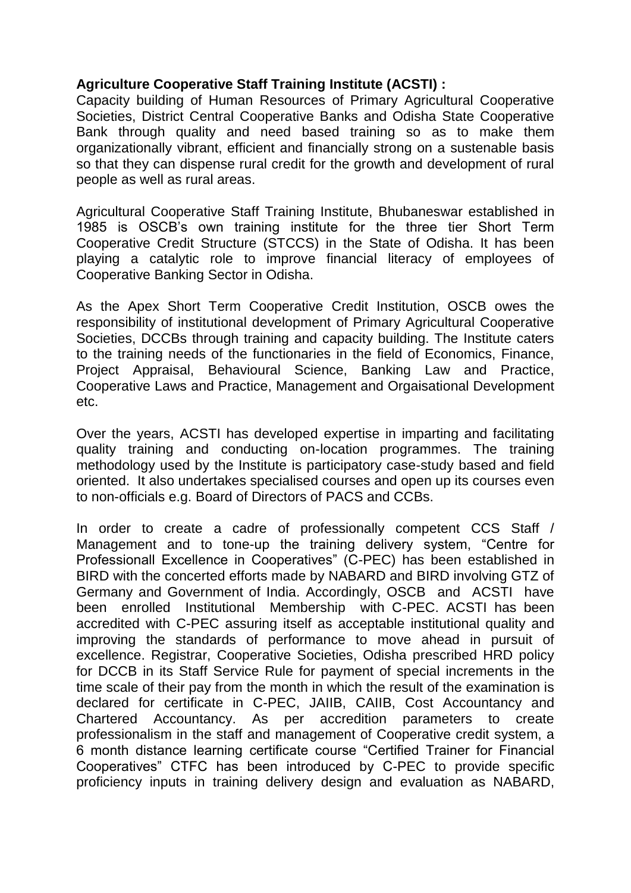## **Agriculture Cooperative Staff Training Institute (ACSTI) :**

Capacity building of Human Resources of Primary Agricultural Cooperative Societies, District Central Cooperative Banks and Odisha State Cooperative Bank through quality and need based training so as to make them organizationally vibrant, efficient and financially strong on a sustenable basis so that they can dispense rural credit for the growth and development of rural people as well as rural areas.

Agricultural Cooperative Staff Training Institute, Bhubaneswar established in 1985 is OSCB's own training institute for the three tier Short Term Cooperative Credit Structure (STCCS) in the State of Odisha. It has been playing a catalytic role to improve financial literacy of employees of Cooperative Banking Sector in Odisha.

As the Apex Short Term Cooperative Credit Institution, OSCB owes the responsibility of institutional development of Primary Agricultural Cooperative Societies, DCCBs through training and capacity building. The Institute caters to the training needs of the functionaries in the field of Economics, Finance, Project Appraisal, Behavioural Science, Banking Law and Practice, Cooperative Laws and Practice, Management and Orgaisational Development etc.

Over the years, ACSTI has developed expertise in imparting and facilitating quality training and conducting on-location programmes. The training methodology used by the Institute is participatory case-study based and field oriented. It also undertakes specialised courses and open up its courses even to non-officials e.g. Board of Directors of PACS and CCBs.

In order to create a cadre of professionally competent CCS Staff / Management and to tone-up the training delivery system, "Centre for Professionall Excellence in Cooperatives" (C-PEC) has been established in BIRD with the concerted efforts made by NABARD and BIRD involving GTZ of Germany and Government of India. Accordingly, OSCB and ACSTI have been enrolled Institutional Membership with C-PEC. ACSTI has been accredited with C-PEC assuring itself as acceptable institutional quality and improving the standards of performance to move ahead in pursuit of excellence. Registrar, Cooperative Societies, Odisha prescribed HRD policy for DCCB in its Staff Service Rule for payment of special increments in the time scale of their pay from the month in which the result of the examination is declared for certificate in C-PEC, JAIIB, CAIIB, Cost Accountancy and Chartered Accountancy. As per accredition parameters to create professionalism in the staff and management of Cooperative credit system, a 6 month distance learning certificate course "Certified Trainer for Financial Cooperatives" CTFC has been introduced by C-PEC to provide specific proficiency inputs in training delivery design and evaluation as NABARD,